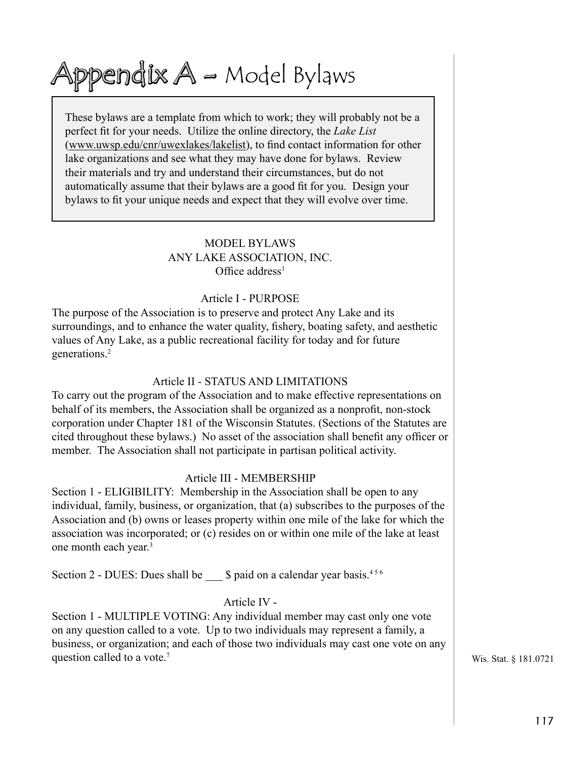# Appendix  $A$  – Model Bylaws

These bylaws are a template from which to work; they will probably not be a perfect fit for your needs. Utilize the online directory, the *Lake List* (www.uwsp.edu/cnr/uwexlakes/lakelist), to find contact information for other lake organizations and see what they may have done for bylaws. Review their materials and try and understand their circumstances, but do not automatically assume that their bylaws are a good fit for you. Design your bylaws to fit your unique needs and expect that they will evolve over time.

## MODEL BYLAWS ANY LAKE ASSOCIATION, INC. Office address<sup>1</sup>

#### Article I - PURPOSE

The purpose of the Association is to preserve and protect Any Lake and its surroundings, and to enhance the water quality, fishery, boating safety, and aesthetic values of Any Lake, as a public recreational facility for today and for future generations.<sup>2</sup>

## Article II - STATUS AND LIMITATIONS

To carry out the program of the Association and to make effective representations on behalf of its members, the Association shall be organized as a nonprofit, non-stock corporation under Chapter 181 of the Wisconsin Statutes. (Sections of the Statutes are cited throughout these bylaws.) No asset of the association shall benefit any officer or member. The Association shall not participate in partisan political activity.

## Article III - MEMBERSHIP

Section 1 - ELIGIBILITY: Membership in the Association shall be open to any individual, family, business, or organization, that (a) subscribes to the purposes of the Association and (b) owns or leases property within one mile of the lake for which the association was incorporated; or (c) resides on or within one mile of the lake at least one month each year.<sup>3</sup>

Section 2 - DUES: Dues shall be  $\qquad$  \$ paid on a calendar year basis.<sup>456</sup>

## Article IV -

Section 1 - MULTIPLE VOTING: Any individual member may cast only one vote on any question called to a vote. Up to two individuals may represent a family, a business, or organization; and each of those two individuals may cast one vote on any question called to a vote.<sup>7</sup> Wis. Stat. § 181.0721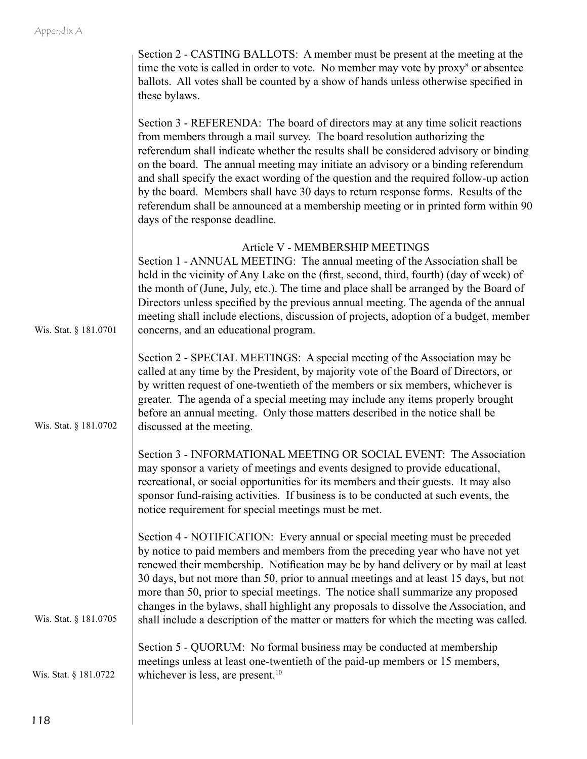|                       | Section 2 - CASTING BALLOTS: A member must be present at the meeting at the<br>time the vote is called in order to vote. No member may vote by proxy <sup>8</sup> or absentee<br>ballots. All votes shall be counted by a show of hands unless otherwise specified in<br>these bylaws.                                                                                                                                                                                                                                                                                                                                                          |
|-----------------------|-------------------------------------------------------------------------------------------------------------------------------------------------------------------------------------------------------------------------------------------------------------------------------------------------------------------------------------------------------------------------------------------------------------------------------------------------------------------------------------------------------------------------------------------------------------------------------------------------------------------------------------------------|
|                       | Section 3 - REFERENDA: The board of directors may at any time solicit reactions<br>from members through a mail survey. The board resolution authorizing the<br>referendum shall indicate whether the results shall be considered advisory or binding<br>on the board. The annual meeting may initiate an advisory or a binding referendum<br>and shall specify the exact wording of the question and the required follow-up action<br>by the board. Members shall have 30 days to return response forms. Results of the<br>referendum shall be announced at a membership meeting or in printed form within 90<br>days of the response deadline. |
| Wis. Stat. § 181.0701 | Article V - MEMBERSHIP MEETINGS<br>Section 1 - ANNUAL MEETING: The annual meeting of the Association shall be<br>held in the vicinity of Any Lake on the (first, second, third, fourth) (day of week) of<br>the month of (June, July, etc.). The time and place shall be arranged by the Board of<br>Directors unless specified by the previous annual meeting. The agenda of the annual<br>meeting shall include elections, discussion of projects, adoption of a budget, member<br>concerns, and an educational program.                                                                                                                      |
| Wis. Stat. § 181.0702 | Section 2 - SPECIAL MEETINGS: A special meeting of the Association may be<br>called at any time by the President, by majority vote of the Board of Directors, or<br>by written request of one-twentieth of the members or six members, whichever is<br>greater. The agenda of a special meeting may include any items properly brought<br>before an annual meeting. Only those matters described in the notice shall be<br>discussed at the meeting.                                                                                                                                                                                            |
|                       | Section 3 - INFORMATIONAL MEETING OR SOCIAL EVENT: The Association<br>may sponsor a variety of meetings and events designed to provide educational,<br>recreational, or social opportunities for its members and their guests. It may also<br>sponsor fund-raising activities. If business is to be conducted at such events, the<br>notice requirement for special meetings must be met.                                                                                                                                                                                                                                                       |
| Wis. Stat. § 181.0705 | Section 4 - NOTIFICATION: Every annual or special meeting must be preceded<br>by notice to paid members and members from the preceding year who have not yet<br>renewed their membership. Notification may be by hand delivery or by mail at least<br>30 days, but not more than 50, prior to annual meetings and at least 15 days, but not<br>more than 50, prior to special meetings. The notice shall summarize any proposed<br>changes in the bylaws, shall highlight any proposals to dissolve the Association, and<br>shall include a description of the matter or matters for which the meeting was called.                              |
| Wis. Stat. § 181.0722 | Section 5 - QUORUM: No formal business may be conducted at membership<br>meetings unless at least one-twentieth of the paid-up members or 15 members,<br>whichever is less, are present. <sup>10</sup>                                                                                                                                                                                                                                                                                                                                                                                                                                          |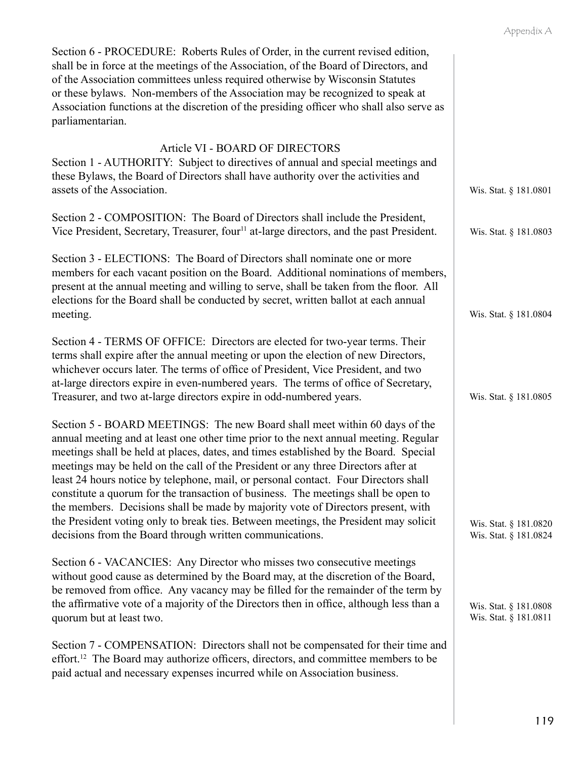| Section 6 - PROCEDURE: Roberts Rules of Order, in the current revised edition,<br>shall be in force at the meetings of the Association, of the Board of Directors, and<br>of the Association committees unless required otherwise by Wisconsin Statutes<br>or these bylaws. Non-members of the Association may be recognized to speak at<br>Association functions at the discretion of the presiding officer who shall also serve as<br>parliamentarian.                                                                                                                                                                                                                                                                                                             |                                                |
|----------------------------------------------------------------------------------------------------------------------------------------------------------------------------------------------------------------------------------------------------------------------------------------------------------------------------------------------------------------------------------------------------------------------------------------------------------------------------------------------------------------------------------------------------------------------------------------------------------------------------------------------------------------------------------------------------------------------------------------------------------------------|------------------------------------------------|
| Article VI - BOARD OF DIRECTORS<br>Section 1 - AUTHORITY: Subject to directives of annual and special meetings and<br>these Bylaws, the Board of Directors shall have authority over the activities and<br>assets of the Association.                                                                                                                                                                                                                                                                                                                                                                                                                                                                                                                                | Wis. Stat. § 181.0801                          |
| Section 2 - COMPOSITION: The Board of Directors shall include the President,<br>Vice President, Secretary, Treasurer, four <sup>11</sup> at-large directors, and the past President.                                                                                                                                                                                                                                                                                                                                                                                                                                                                                                                                                                                 | Wis. Stat. § 181.0803                          |
| Section 3 - ELECTIONS: The Board of Directors shall nominate one or more<br>members for each vacant position on the Board. Additional nominations of members,<br>present at the annual meeting and willing to serve, shall be taken from the floor. All<br>elections for the Board shall be conducted by secret, written ballot at each annual<br>meeting.                                                                                                                                                                                                                                                                                                                                                                                                           | Wis. Stat. § 181.0804                          |
| Section 4 - TERMS OF OFFICE: Directors are elected for two-year terms. Their<br>terms shall expire after the annual meeting or upon the election of new Directors,<br>whichever occurs later. The terms of office of President, Vice President, and two<br>at-large directors expire in even-numbered years. The terms of office of Secretary,<br>Treasurer, and two at-large directors expire in odd-numbered years.                                                                                                                                                                                                                                                                                                                                                | Wis. Stat. § 181.0805                          |
| Section 5 - BOARD MEETINGS: The new Board shall meet within 60 days of the<br>annual meeting and at least one other time prior to the next annual meeting. Regular<br>meetings shall be held at places, dates, and times established by the Board. Special<br>meetings may be held on the call of the President or any three Directors after at<br>least 24 hours notice by telephone, mail, or personal contact. Four Directors shall<br>constitute a quorum for the transaction of business. The meetings shall be open to<br>the members. Decisions shall be made by majority vote of Directors present, with<br>the President voting only to break ties. Between meetings, the President may solicit<br>decisions from the Board through written communications. | Wis. Stat. § 181.0820<br>Wis. Stat. § 181.0824 |
| Section 6 - VACANCIES: Any Director who misses two consecutive meetings<br>without good cause as determined by the Board may, at the discretion of the Board,<br>be removed from office. Any vacancy may be filled for the remainder of the term by<br>the affirmative vote of a majority of the Directors then in office, although less than a<br>quorum but at least two.                                                                                                                                                                                                                                                                                                                                                                                          | Wis. Stat. § 181.0808<br>Wis. Stat. § 181.0811 |
| Section 7 - COMPENSATION: Directors shall not be compensated for their time and<br>effort. <sup>12</sup> The Board may authorize officers, directors, and committee members to be<br>paid actual and necessary expenses incurred while on Association business.                                                                                                                                                                                                                                                                                                                                                                                                                                                                                                      |                                                |

119

Appendix A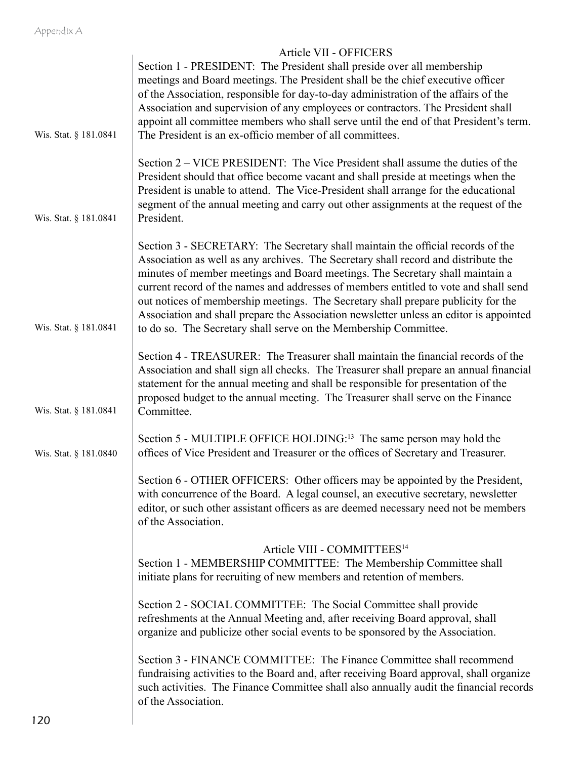## Appendix A

|                       | Article VII - OFFICERS                                                                                                                                                                                                                                                                                                                                                                                                                                                                                                                                                                            |
|-----------------------|---------------------------------------------------------------------------------------------------------------------------------------------------------------------------------------------------------------------------------------------------------------------------------------------------------------------------------------------------------------------------------------------------------------------------------------------------------------------------------------------------------------------------------------------------------------------------------------------------|
|                       | Section 1 - PRESIDENT: The President shall preside over all membership<br>meetings and Board meetings. The President shall be the chief executive officer                                                                                                                                                                                                                                                                                                                                                                                                                                         |
|                       | of the Association, responsible for day-to-day administration of the affairs of the                                                                                                                                                                                                                                                                                                                                                                                                                                                                                                               |
|                       | Association and supervision of any employees or contractors. The President shall<br>appoint all committee members who shall serve until the end of that President's term.                                                                                                                                                                                                                                                                                                                                                                                                                         |
| Wis. Stat. § 181.0841 | The President is an ex-officio member of all committees.                                                                                                                                                                                                                                                                                                                                                                                                                                                                                                                                          |
| Wis. Stat. § 181.0841 | Section 2 – VICE PRESIDENT: The Vice President shall assume the duties of the<br>President should that office become vacant and shall preside at meetings when the<br>President is unable to attend. The Vice-President shall arrange for the educational<br>segment of the annual meeting and carry out other assignments at the request of the<br>President.                                                                                                                                                                                                                                    |
| Wis. Stat. § 181.0841 | Section 3 - SECRETARY: The Secretary shall maintain the official records of the<br>Association as well as any archives. The Secretary shall record and distribute the<br>minutes of member meetings and Board meetings. The Secretary shall maintain a<br>current record of the names and addresses of members entitled to vote and shall send<br>out notices of membership meetings. The Secretary shall prepare publicity for the<br>Association and shall prepare the Association newsletter unless an editor is appointed<br>to do so. The Secretary shall serve on the Membership Committee. |
| Wis. Stat. § 181.0841 | Section 4 - TREASURER: The Treasurer shall maintain the financial records of the<br>Association and shall sign all checks. The Treasurer shall prepare an annual financial<br>statement for the annual meeting and shall be responsible for presentation of the<br>proposed budget to the annual meeting. The Treasurer shall serve on the Finance<br>Committee.                                                                                                                                                                                                                                  |
| Wis. Stat. § 181.0840 | Section 5 - MULTIPLE OFFICE HOLDING: <sup>13</sup> The same person may hold the<br>offices of Vice President and Treasurer or the offices of Secretary and Treasurer.                                                                                                                                                                                                                                                                                                                                                                                                                             |
|                       | Section 6 - OTHER OFFICERS: Other officers may be appointed by the President,<br>with concurrence of the Board. A legal counsel, an executive secretary, newsletter<br>editor, or such other assistant officers as are deemed necessary need not be members<br>of the Association.                                                                                                                                                                                                                                                                                                                |
|                       | Article VIII - COMMITTEES <sup>14</sup>                                                                                                                                                                                                                                                                                                                                                                                                                                                                                                                                                           |
|                       | Section 1 - MEMBERSHIP COMMITTEE: The Membership Committee shall<br>initiate plans for recruiting of new members and retention of members.                                                                                                                                                                                                                                                                                                                                                                                                                                                        |
|                       | Section 2 - SOCIAL COMMITTEE: The Social Committee shall provide<br>refreshments at the Annual Meeting and, after receiving Board approval, shall<br>organize and publicize other social events to be sponsored by the Association.                                                                                                                                                                                                                                                                                                                                                               |
|                       | Section 3 - FINANCE COMMITTEE: The Finance Committee shall recommend<br>fundraising activities to the Board and, after receiving Board approval, shall organize<br>such activities. The Finance Committee shall also annually audit the financial records<br>of the Association.                                                                                                                                                                                                                                                                                                                  |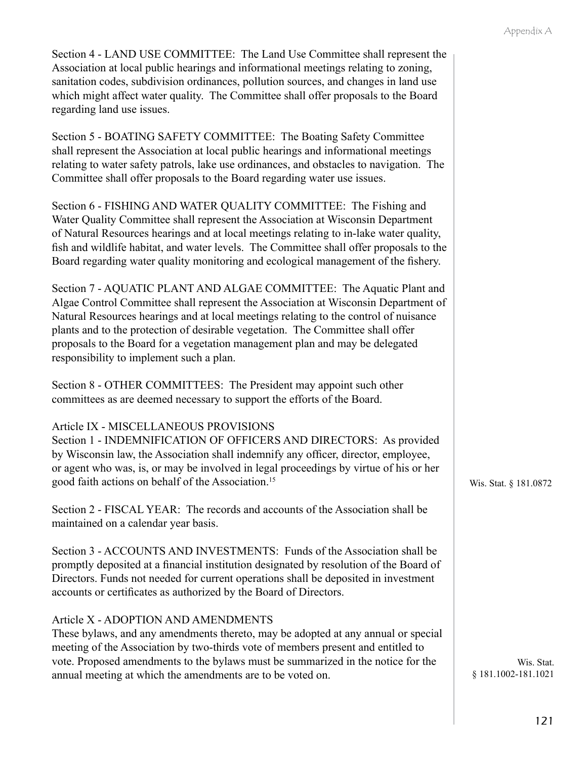Section 4 - LAND USE COMMITTEE: The Land Use Committee shall represent the Association at local public hearings and informational meetings relating to zoning, sanitation codes, subdivision ordinances, pollution sources, and changes in land use which might affect water quality. The Committee shall offer proposals to the Board regarding land use issues.

Section 5 - BOATING SAFETY COMMITTEE: The Boating Safety Committee shall represent the Association at local public hearings and informational meetings relating to water safety patrols, lake use ordinances, and obstacles to navigation. The Committee shall offer proposals to the Board regarding water use issues.

Section 6 - FISHING AND WATER QUALITY COMMITTEE: The Fishing and Water Quality Committee shall represent the Association at Wisconsin Department of Natural Resources hearings and at local meetings relating to in-lake water quality, fish and wildlife habitat, and water levels. The Committee shall offer proposals to the Board regarding water quality monitoring and ecological management of the fishery.

Section 7 - AQUATIC PLANT AND ALGAE COMMITTEE: The Aquatic Plant and Algae Control Committee shall represent the Association at Wisconsin Department of Natural Resources hearings and at local meetings relating to the control of nuisance plants and to the protection of desirable vegetation. The Committee shall offer proposals to the Board for a vegetation management plan and may be delegated responsibility to implement such a plan.

Section 8 - OTHER COMMITTEES: The President may appoint such other committees as are deemed necessary to support the efforts of the Board.

## Article IX - MISCELLANEOUS PROVISIONS

Section 1 - INDEMNIFICATION OF OFFICERS AND DIRECTORS: As provided by Wisconsin law, the Association shall indemnify any officer, director, employee, or agent who was, is, or may be involved in legal proceedings by virtue of his or her good faith actions on behalf of the Association.<sup>15</sup>

Section 2 - FISCAL YEAR: The records and accounts of the Association shall be maintained on a calendar year basis.

Section 3 - ACCOUNTS AND INVESTMENTS: Funds of the Association shall be promptly deposited at a financial institution designated by resolution of the Board of Directors. Funds not needed for current operations shall be deposited in investment accounts or certificates as authorized by the Board of Directors.

## Article X - ADOPTION AND AMENDMENTS

These bylaws, and any amendments thereto, may be adopted at any annual or special meeting of the Association by two-thirds vote of members present and entitled to vote. Proposed amendments to the bylaws must be summarized in the notice for the annual meeting at which the amendments are to be voted on.

Wis. Stat. § 181.0872

Wis. Stat. § 181.1002-181.1021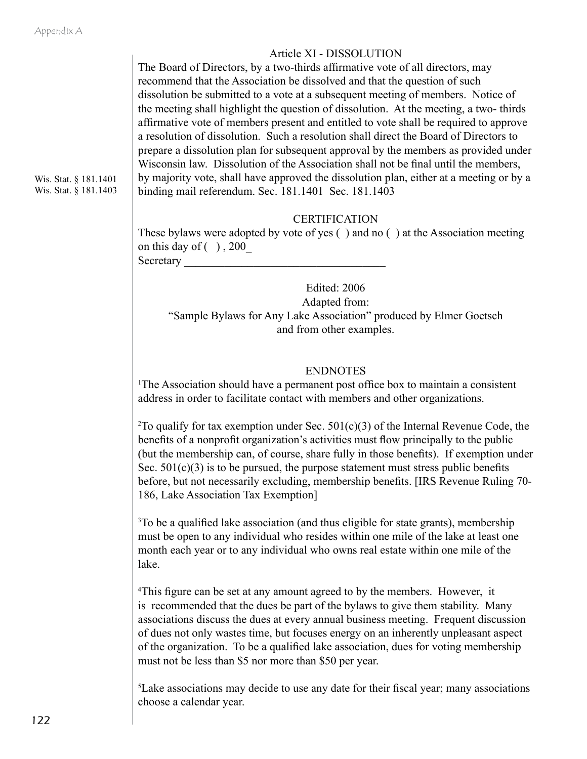## Article XI - DISSOLUTION

The Board of Directors, by a two-thirds affirmative vote of all directors, may recommend that the Association be dissolved and that the question of such dissolution be submitted to a vote at a subsequent meeting of members. Notice of the meeting shall highlight the question of dissolution. At the meeting, a two- thirds affirmative vote of members present and entitled to vote shall be required to approve a resolution of dissolution. Such a resolution shall direct the Board of Directors to prepare a dissolution plan for subsequent approval by the members as provided under Wisconsin law. Dissolution of the Association shall not be final until the members, by majority vote, shall have approved the dissolution plan, either at a meeting or by a binding mail referendum. Sec. 181.1401 Sec. 181.1403

## **CERTIFICATION**

These bylaws were adopted by vote of yes ( ) and no ( ) at the Association meeting on this day of  $( )$ , 200 Secretary

Edited: 2006 Adapted from: "Sample Bylaws for Any Lake Association" produced by Elmer Goetsch and from other examples.

## **ENDNOTES**

1 The Association should have a permanent post office box to maintain a consistent address in order to facilitate contact with members and other organizations.

<sup>2</sup>To qualify for tax exemption under Sec.  $501(c)(3)$  of the Internal Revenue Code, the benefits of a nonprofit organization's activities must flow principally to the public (but the membership can, of course, share fully in those benefits). If exemption under Sec.  $501(c)(3)$  is to be pursued, the purpose statement must stress public benefits before, but not necessarily excluding, membership benefits. [IRS Revenue Ruling 70- 186, Lake Association Tax Exemption]

<sup>3</sup>To be a qualified lake association (and thus eligible for state grants), membership must be open to any individual who resides within one mile of the lake at least one month each year or to any individual who owns real estate within one mile of the lake.

<sup>4</sup>This figure can be set at any amount agreed to by the members. However, it is recommended that the dues be part of the bylaws to give them stability. Many associations discuss the dues at every annual business meeting. Frequent discussion of dues not only wastes time, but focuses energy on an inherently unpleasant aspect of the organization. To be a qualified lake association, dues for voting membership must not be less than \$5 nor more than \$50 per year.

5 Lake associations may decide to use any date for their fiscal year; many associations choose a calendar year.

Wis. Stat. § 181.1401 Wis. Stat. § 181.1403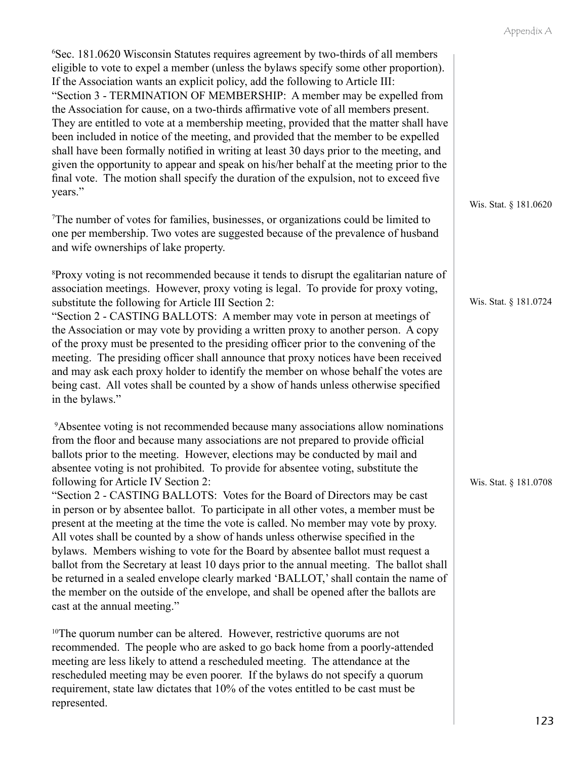| <sup>6</sup> Sec. 181.0620 Wisconsin Statutes requires agreement by two-thirds of all members<br>eligible to vote to expel a member (unless the bylaws specify some other proportion).<br>If the Association wants an explicit policy, add the following to Article III:<br>"Section 3 - TERMINATION OF MEMBERSHIP: A member may be expelled from<br>the Association for cause, on a two-thirds affirmative vote of all members present.<br>They are entitled to vote at a membership meeting, provided that the matter shall have<br>been included in notice of the meeting, and provided that the member to be expelled<br>shall have been formally notified in writing at least 30 days prior to the meeting, and<br>given the opportunity to appear and speak on his/her behalf at the meeting prior to the<br>final vote. The motion shall specify the duration of the expulsion, not to exceed five                                                                                                                                                                                                                                   |                       |
|---------------------------------------------------------------------------------------------------------------------------------------------------------------------------------------------------------------------------------------------------------------------------------------------------------------------------------------------------------------------------------------------------------------------------------------------------------------------------------------------------------------------------------------------------------------------------------------------------------------------------------------------------------------------------------------------------------------------------------------------------------------------------------------------------------------------------------------------------------------------------------------------------------------------------------------------------------------------------------------------------------------------------------------------------------------------------------------------------------------------------------------------|-----------------------|
| years."<br><sup>7</sup> The number of votes for families, businesses, or organizations could be limited to<br>one per membership. Two votes are suggested because of the prevalence of husband<br>and wife ownerships of lake property.                                                                                                                                                                                                                                                                                                                                                                                                                                                                                                                                                                                                                                                                                                                                                                                                                                                                                                     | Wis. Stat. § 181.0620 |
| <sup>8</sup> Proxy voting is not recommended because it tends to disrupt the egalitarian nature of<br>association meetings. However, proxy voting is legal. To provide for proxy voting,<br>substitute the following for Article III Section 2:<br>"Section 2 - CASTING BALLOTS: A member may vote in person at meetings of<br>the Association or may vote by providing a written proxy to another person. A copy<br>of the proxy must be presented to the presiding officer prior to the convening of the<br>meeting. The presiding officer shall announce that proxy notices have been received<br>and may ask each proxy holder to identify the member on whose behalf the votes are<br>being cast. All votes shall be counted by a show of hands unless otherwise specified<br>in the bylaws."                                                                                                                                                                                                                                                                                                                                          | Wis. Stat. § 181.0724 |
| <sup>9</sup> Absentee voting is not recommended because many associations allow nominations<br>from the floor and because many associations are not prepared to provide official<br>ballots prior to the meeting. However, elections may be conducted by mail and<br>absentee voting is not prohibited. To provide for absentee voting, substitute the<br>following for Article IV Section 2:<br>"Section 2 - CASTING BALLOTS: Votes for the Board of Directors may be cast<br>in person or by absentee ballot. To participate in all other votes, a member must be<br>present at the meeting at the time the vote is called. No member may vote by proxy.<br>All votes shall be counted by a show of hands unless otherwise specified in the<br>bylaws. Members wishing to vote for the Board by absentee ballot must request a<br>ballot from the Secretary at least 10 days prior to the annual meeting. The ballot shall<br>be returned in a sealed envelope clearly marked 'BALLOT,' shall contain the name of<br>the member on the outside of the envelope, and shall be opened after the ballots are<br>cast at the annual meeting." | Wis. Stat. § 181.0708 |
| <sup>10</sup> The quorum number can be altered. However, restrictive quorums are not<br>recommended. The people who are asked to go back home from a poorly-attended<br>meeting are less likely to attend a rescheduled meeting. The attendance at the<br>rescheduled meeting may be even poorer. If the bylaws do not specify a quorum                                                                                                                                                                                                                                                                                                                                                                                                                                                                                                                                                                                                                                                                                                                                                                                                     |                       |

requirement, state law dictates that 10% of the votes entitled to be cast must be

represented.